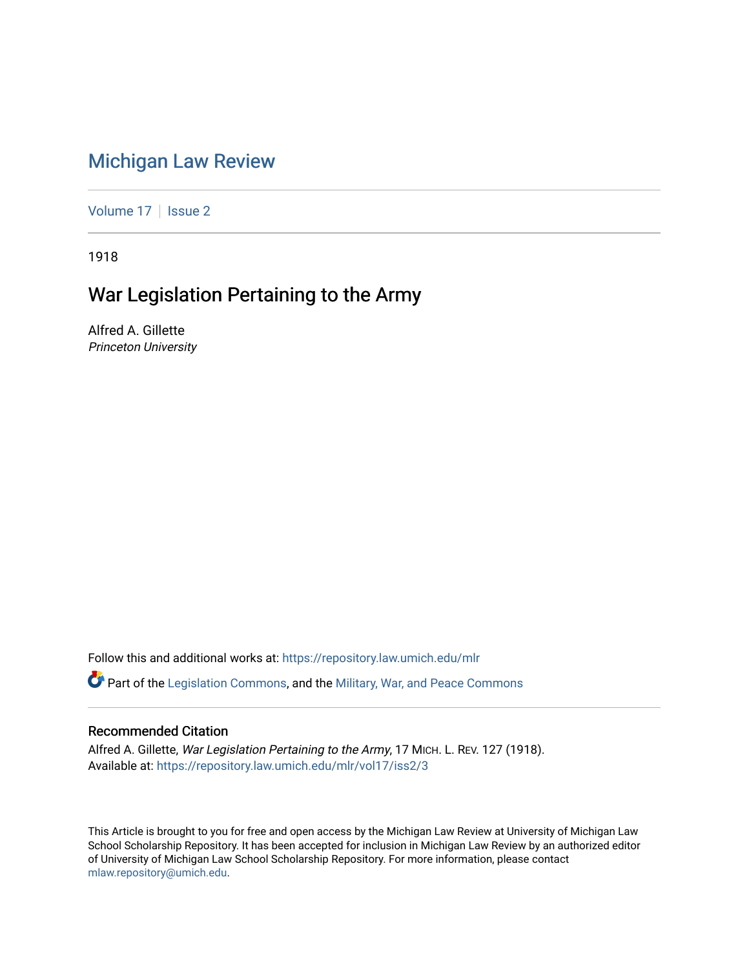# [Michigan Law Review](https://repository.law.umich.edu/mlr)

[Volume 17](https://repository.law.umich.edu/mlr/vol17) | [Issue 2](https://repository.law.umich.edu/mlr/vol17/iss2)

1918

# War Legislation Pertaining to the Army

Alfred A. Gillette Princeton University

Follow this and additional works at: [https://repository.law.umich.edu/mlr](https://repository.law.umich.edu/mlr?utm_source=repository.law.umich.edu%2Fmlr%2Fvol17%2Fiss2%2F3&utm_medium=PDF&utm_campaign=PDFCoverPages) 

**C** Part of the [Legislation Commons](http://network.bepress.com/hgg/discipline/859?utm_source=repository.law.umich.edu%2Fmlr%2Fvol17%2Fiss2%2F3&utm_medium=PDF&utm_campaign=PDFCoverPages), and the Military, War, and Peace Commons

## Recommended Citation

Alfred A. Gillette, War Legislation Pertaining to the Army, 17 MICH. L. REV. 127 (1918). Available at: [https://repository.law.umich.edu/mlr/vol17/iss2/3](https://repository.law.umich.edu/mlr/vol17/iss2/3?utm_source=repository.law.umich.edu%2Fmlr%2Fvol17%2Fiss2%2F3&utm_medium=PDF&utm_campaign=PDFCoverPages)

This Article is brought to you for free and open access by the Michigan Law Review at University of Michigan Law School Scholarship Repository. It has been accepted for inclusion in Michigan Law Review by an authorized editor of University of Michigan Law School Scholarship Repository. For more information, please contact [mlaw.repository@umich.edu.](mailto:mlaw.repository@umich.edu)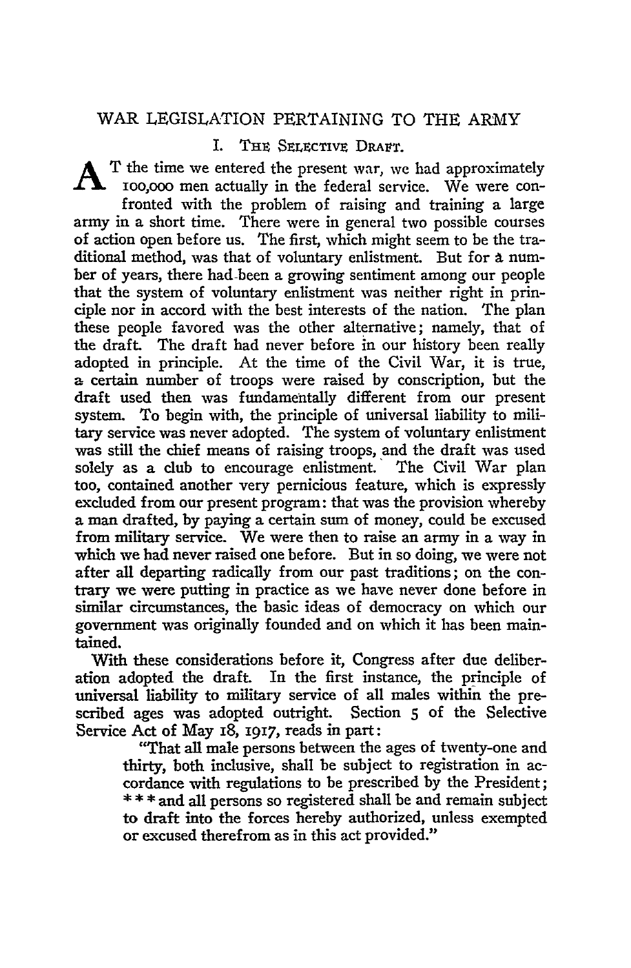### WAR LEGISLATION PERTAINING TO THE ARMY

I. THE SELECTIVE DRAFT.

T the time we entered the present war, we had approximately 100,000 men actually in the federal service. We were confronted with the problem of raising and training a large army in a short time. There were in general two possible courses of action open before us. The first, which might seem to be the traditional method, was that of voluntary enlistment. But for a number of years, there had-been a growing sentiment among our people that the system of voluntary enlistment was neither right in principle nor in accord with the best interests of the nation. The plan these people favored was the other alternative; namely, that of the draft. The draft had never before in our history been really adopted in principle. At the time of the Civil War, it is true, a certain number of troops were raised by conscription, but the draft used then was fundamentally different from our present system. To begin with, the principle of universal liability to military service was never adopted. The system of voluntary enlistment was still the chief means of raising troops, and the draft was used solely as a club to encourage enlistment. The Civil War plan too, contained another very pernicious feature, which is expressly excluded from our present program: that was the provision whereby a man drafted, by paying a certain sum of money, could be excused from military service. We were then to raise an army in a way in which we had never raised one before. But in so doing, we were not after all departing radically from our past traditions; on the contrary we were putting in practice as we have never done before in similar circumstances, the basic ideas of democracy on which our government was originally founded and on which it has been maintained.

With these considerations before it, Congress after due deliberation adopted the draft. In the first instance, the principle of universal liability to military service of all males within the prescribed ages was adopted outright. Section 5 of the Selective Service Act of May 18, 1917, reads in part:

"That all male persons between the ages of twenty-one and thirty, both inclusive, shall be subject to registration in accordance with regulations to be prescribed by the President; \*\*\* and all persons so registered shall be and remain subject to draft into the forces hereby authorized, unless exempted or excused therefrom as in this act provided."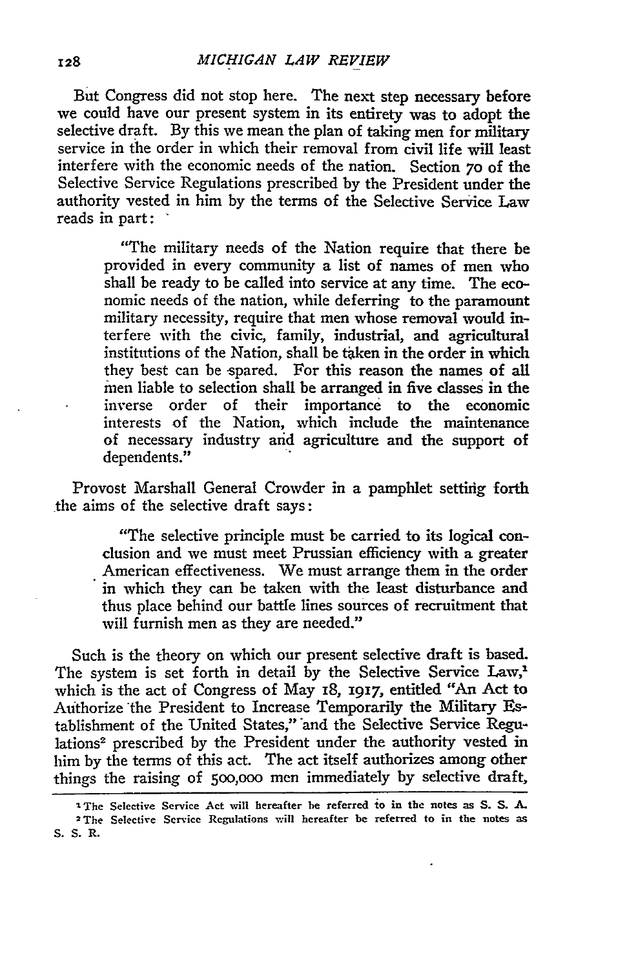But Congress did not stop here. The next step necessary before we could have our present system in its entirety was to adopt the selective draft. By this we mean the plan of taking men for military service in the order in which their removal from civil life will least interfere with the economic needs of the nation. Section 70 of the Selective Service Regulations prescribed by the President under the authority vested in him by the terms of the Selective Service Law reads in part:

"The military needs of the Nation require that there be provided in every community a list of names of men who shall be ready to be called into service at any time. The economic needs of the nation, while deferring to the paramount military necessity, require that men whose removal would interfere with the civic, family, industrial, and agricultural institutions of the Nation, shall be taken in the order in which they best can be spared. For this reason the names of all men liable to selection shall be arranged in five classes in the inverse order of their importance to the economic interests of the Nation, which include the maintenance of necessary industry arid agriculture and the support of dependents."

Provost Marshall General Crowder in a pamphlet setting forth the aims of the selective draft says:

"The selective principle must be carried to its logical conclusion and we must meet Prussian efficiency with a greater American effectiveness. We must arrange them in the order in which they can be taken with the least disturbance and thus place behind our battle lines sources of recruitment that will furnish men as they are needed."

Such is the theory on which our present selective draft is based. The system is set forth in detail by the Selective Service Law,<sup>1</sup> which is the act of Congress of May 18, 1917, entitled "An Act to Authorize the President to Increase Temporarily the Military Establishment of the United States," and the Selective Service Regulations<sup>2</sup> prescribed by the President under the authority vested in him by the terms of this act. The act itself authorizes among other things the raising of 500,000 men immediately by selective draft,

<sup>1</sup>The Selective Service Act will hereafter he referred to in the notes as S. S. A. <sup>2</sup> The Selective Service Regulations will hereafter be referred to in the notes as S.S. R.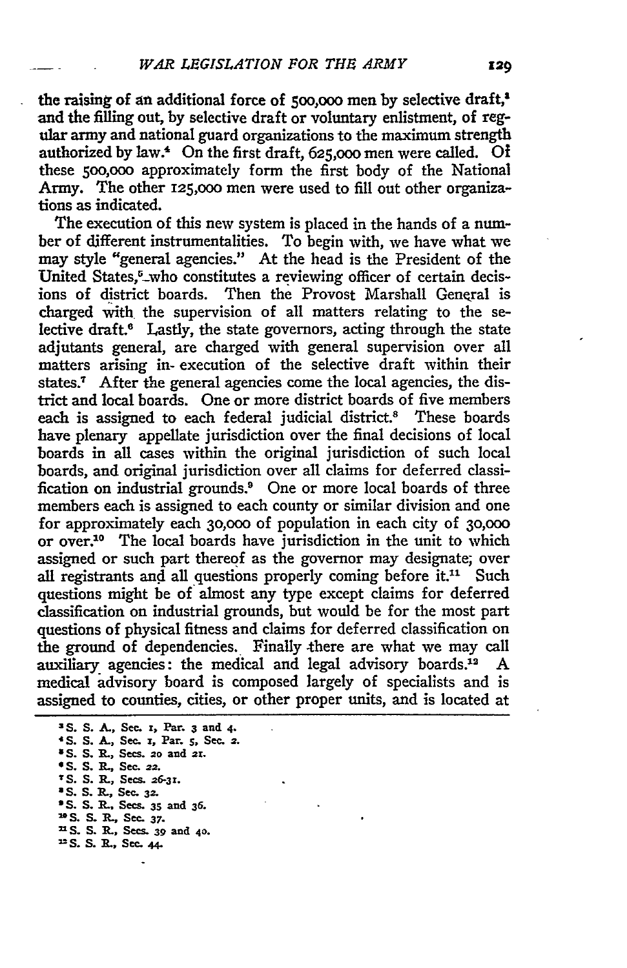the raising of an additional force of 500,000 men by selective draft,• and the filling out, by selective draft or voluntary enlistment, of regular army and national guard organizations to the maximum strength authorized by law. $*$  On the first draft, 625,000 men were called. Of these 500,000 approximately form the first body of the National Army. The other 125,000 men were used to fill out other organizations as indicated.

The execution of this new system is placed in the hands of a number of different instrumentalities. To begin with, we have what we may style "general agencies." At the head is the President of the United States,<sup>5</sup> who constitutes a reviewing officer of certain decisions of district boards. Then the Provost Marshall General is charged With. the supervision of all matters relating to the selective draft.<sup>6</sup> Lastly, the state governors, acting through the state adjutants general, are charged with general supervision over all matters arising in- execution of the selective draft within their states.<sup>7</sup> After the general agencies come the local agencies, the district and local boards. One or more district boards of five members each is assigned to each federal judicial district.8 These boards have plenary appellate jurisdiction over the final decisions of local boards in all cases within the original jurisdiction of such local boards, and original jurisdiction over all claims for deferred classification on industrial grounds.9 One or more local boards of three members each is assigned to each county or similar division and one for approximately each 30,000 of population in each city of 30,000 or over.<sup>10</sup> The local boards have jurisdiction in the unit to which assigned or such part there of as the governor may designate; over all registrants and all questions properly coming before it.<sup>11</sup> Such questions might be *of* almost any type except claims for deferred classification on industrial grounds, but would be for the most part questions of physical fitness and claims for deferred classification on the ground of dependencies. Finally there are what we may call auxiliary agencies: the medical and legal advisory boards.<sup>12</sup> A medical advisory board is composed largely of specialists and is assigned to counties, cities, or other proper units, and is located at

s S. S. A., Sec. *z,* Par. 3 and 4. 4 S. S. A., Sec. r, Par. 5, Sec. 2. • S. S. R., Secs. 20 and 2r. • S. S. R., Sec. 22. Ts. s. R., Secs. 26-31. <sup>3</sup> S. S. R., Sec. 32. • S. S. R., Secs. 35 and 36. "'S. S. R., Sec. 37. n S. S. R., Secs. 39 and 40. <sup>12</sup> S. S. R., Sec. 44.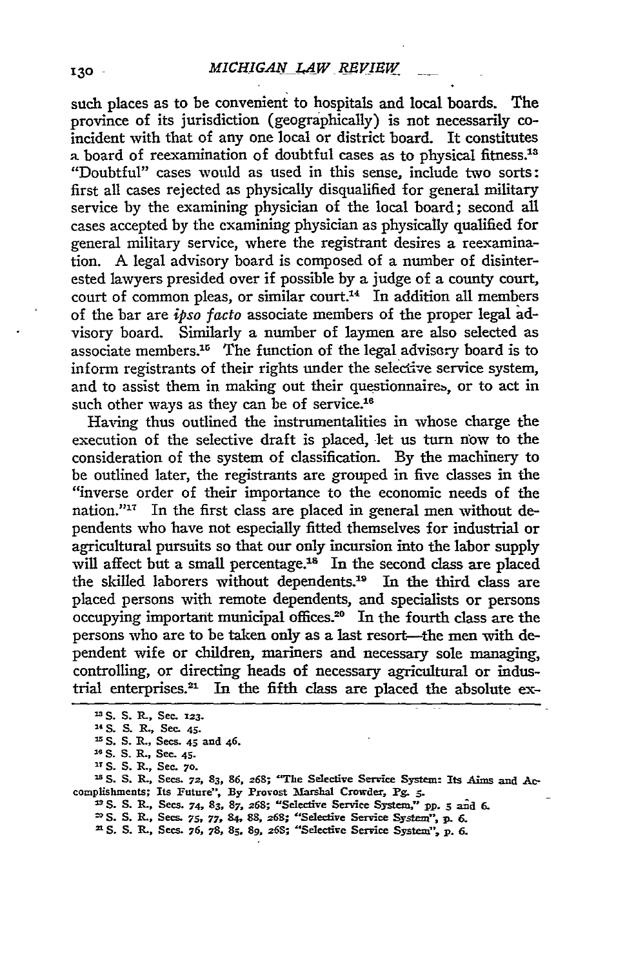such places as to be convenient to hospitals and local boards. The province of its jurisdiction (geographically) is not necessarily coincident with that of any one local or district board. It constitutes a board of reexamination of doubtful cases as to physical fitness.13 "Doubtful" cases would as used in this sense, include two sorts: first all cases rejected as physically disqualified for general military service by the examining physician of the local board; second all cases accepted by the examining physician as physically qualified for general military service, where the registrant desires a reexamination. A legal advisory board is composed of a number of disinterested lawyers presided over if possible by a judge of a county court, court of common pleas, or similar court.<sup>14</sup> In addition all members of the bar are *ipso facto* associate members of the proper legal advisory board. Similarly a number of laymen are also selected as associate members.16 The function of the legal advisary board is to inform registrants of their rights under the selective service system, and to assist them in making out their questionnaires, or to act in such other ways as they can be of service.<sup>16</sup>

Having thus outlined the instrumentalities in whose charge the execution of the selective draft is placed, let us turn now to the consideration of the system of classification. By the machinery to be outlined later, the registrants are grouped in five classes in the "inverse order of their importance to the economic needs of the nation."<sup>17</sup> In the first class are placed in general men without dependents who have not especially fitted themselves for industrial or agricultural pursuits so that our only incursion into the labor supply will affect but a small percentage.<sup>18</sup> In the second class are placed the skilled laborers without dependents.19 In the third class are placed persons with remote dependents, and specialists or persons occupying important municipal offices.20 In the fourth class are the persons who are to be taken only as a last resort—the men with dependent wife or children, mariners and necessary sole managing, controlling, or directing heads of necessary agricultural or industrial enterprises.<sup>21</sup> In the fifth class are placed the absolute ex-

<sup>&</sup>lt;sup>13</sup> S. S. R., Sec. 123.

<sup>&</sup>lt;sup>34</sup> S. S. R., Sec. 45.

<sup>&</sup>lt;sup>15</sup> S. S. R., Secs. 45 and 46.<br><sup>16</sup> S. S. R., Sec. 45.

<sup>&</sup>lt;sup>16</sup> S. S. R., Sec. 45.<br>
<sup>17</sup> S. S. R., Sec. 70.<br>
<sup>18</sup> S. S. R., Secs. 72, 83, 86, 268; "The Selective Service System: Its Aims and Ac-<br>
complishments; Its Future", By Provost Marshal Crowder, Pg. 5. <sup>19</sup> S. S. R., Secs. 74, 83, 87, 268; "Selective Service System," pp. 5 and 6. <sup>20</sup> S. S. R., Secs. 75, 77, 84, 88, 268; "Selective Service System", p. 6.

<sup>:</sup>n S. S. R., Secs. 76, 78, 85, 89, 268; "Selective Senice System", p. 6.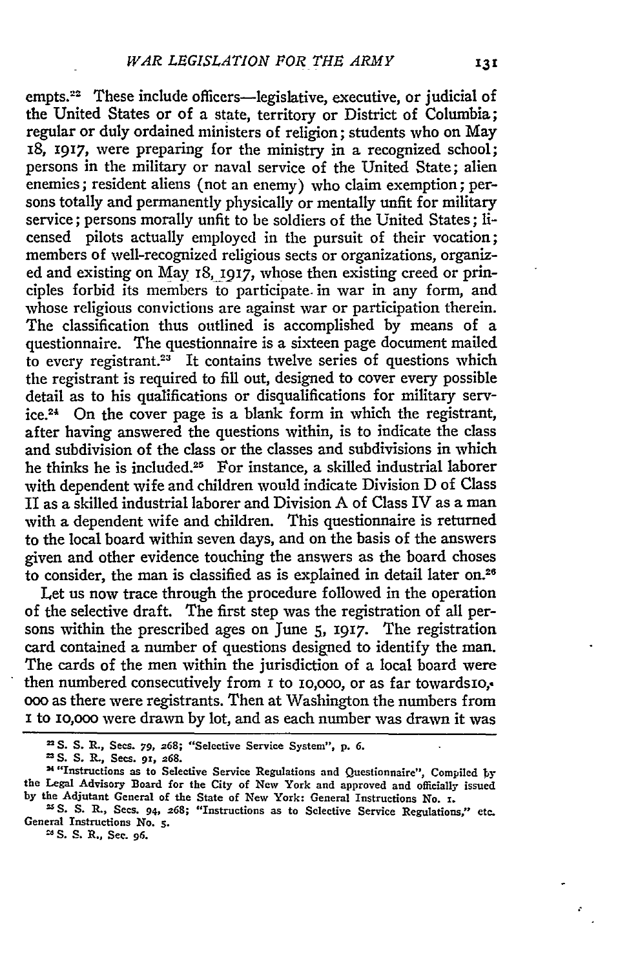empts.<sup>22</sup> These include officers-legislative, executive, or judicial of the United States or of a state, territory or District of Columbia; regular or duly ordained ministers of religion; students who on May 18, 1917, were preparing for the ministry in a recognized school; persons in the military or naval service of the United State; alien enemies; resident aliens (not an enemy) who claim exemption; persons totally and permanently physically or mentally unfit for military service; persons morally unfit to be soldiers of the United States; licensed pilots actually employed in the pursuit of their vocation; members of well-recognized religious sects or organizations, organized and existing on May 18, 1917, whose then existing creed or principles forbid its members to participate. in war in any form, and whose religious convictions are against war or participation therein. The classification thus outlined is accomplished by means of a questionnaire. The questionnaire is a sixteen page document mailed to every registrant.23 It contains twelve series of questions which the registrant is required to fill out, designed to cover every possible detail as to his qualifications or disqualifications for military service.<sup>24</sup> On the cover page is a blank form in which the registrant, after having answered the questions within, is to indicate the class and subdivision of the class or the classes and subdivisions in which he thinks he is included.25 For instance, a skilled industrial laborer with dependent wife and children would indicate Division D of Class II as a skilled industrial laborer and Division A of Class IV as a man with a dependent wife and children. This questionnaire is returned to the local board within seven days, and on the basis of the answers given and other evidence touching the answers as the board choses to consider, the man is classified as is explained in detail later on.26

Let us now trace through the procedure followed in the operation of the selective draft. The first step was the registration of all persons within the prescribed ages on June 5, 1917. The registration card contained a number of questions designed to identify the man. The cards of the men within the jurisdiction of a local board were then numbered consecutively from I to 10,000, or as far towardsIO, ooo as there were registrants. Then at Washington the numbers from I to 10,000 were drawn by lot, and as each number was drawn it was

28 S. S. R., Sec. 96.

<sup>22</sup> S. S. R., Secs. *79,* 268; "Selective Service System", p. 6.

<sup>=</sup> S. S. R., Secs. 91, 268.

<sup>&</sup>lt;sup>24</sup> "Instructions as to Selective Service Regulations and Questionnaire", Compiled by the Legal Advisory Board for the City of New York and approved and officially issued by the Adjutant General of the State of New York: General Instructions No. r.

<sup>&</sup>lt;sup>25</sup> S. S. R., Secs. 94, *268*; "Instructions as to Sclective Service Regulations," etc. General Instructions No. 5.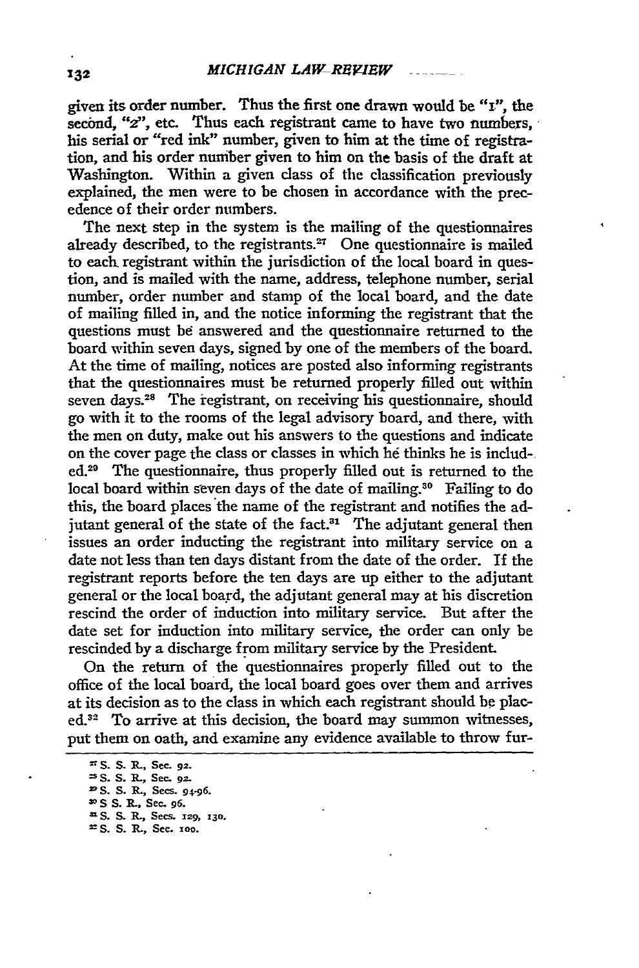given its order number. Thus the first one drawn would be "1", the second, " $z$ ", etc. Thus each registrant came to have two numbers, his serial or "red ink" number, given to him at the time of registration, and his order number given to him on the basis of the draft at Washington. Within a given class of the classification previously explained, the men were to be chosen in accordance with the precedence of their order numbers.

The next step in the system is the mailing of the questionnaires already described, to the registrants.<sup>27</sup> One questionnaire is mailed to each, registrant within the jurisdiction of the local board in question, and is mailed with the name, address, telephone number, serial number, order number and stamp of the local board, and the date of mailing filled in, and the notice informing the registrant that the questions must be answered and the questionnaire returned to the board within seven days, signed by one of the members of the board. At the time of mailing, notices are posted also informing registrants that the questionnaires must be returned properly filled out within seven days.<sup>28</sup> The registrant, on receiving his questionnaire, should go with it to the rooms of the legal advisory board, and there, with the men on duty, make out his answers to the questions and indicate on the cover page the class or classes in which he thinks he is included. 29 The questionnaire, thus properly filled out is returned to the local board within seven days of the date of mailing.<sup>30</sup> Failing to do this, the board places 'the name of the registrant and notifies the adjutant general of the state of the fact. $31$  The adjutant general then issues an order inducting the registrant into military service on a date not less than ten days distant from the date of the order. If the registrant reports before the ten days are up either to the adjutant general or the local board, the adjutant general may at his discretion rescind the order of induction into military service. But after the date set for induction into military service, the order can only be rescinded by a discharge from military service by the President.

On the return of the questionnaires properly filled out to the office of the local board, the local board goes over them and arrives at its decision as to the class in which each registrant should be placed. 32 To arrive at this decision, the board may summon witnesses, put them on oath, and examine any evidence available to throw fur-

*<sup>:-:</sup>* S. S. R., Sec. 92.

<sup>:</sup>s S. S. R., Sec. 9.z.

<sup>&</sup>lt;sup>29</sup> S. S. R., Secs. 94-96.<br><sup>30</sup> S S. R., Sec. 96.

<sup>&</sup>lt;sup>31</sup> S. S. R., Secs. 129, 130.

<sup>=</sup> S. S. R., Sec. loo.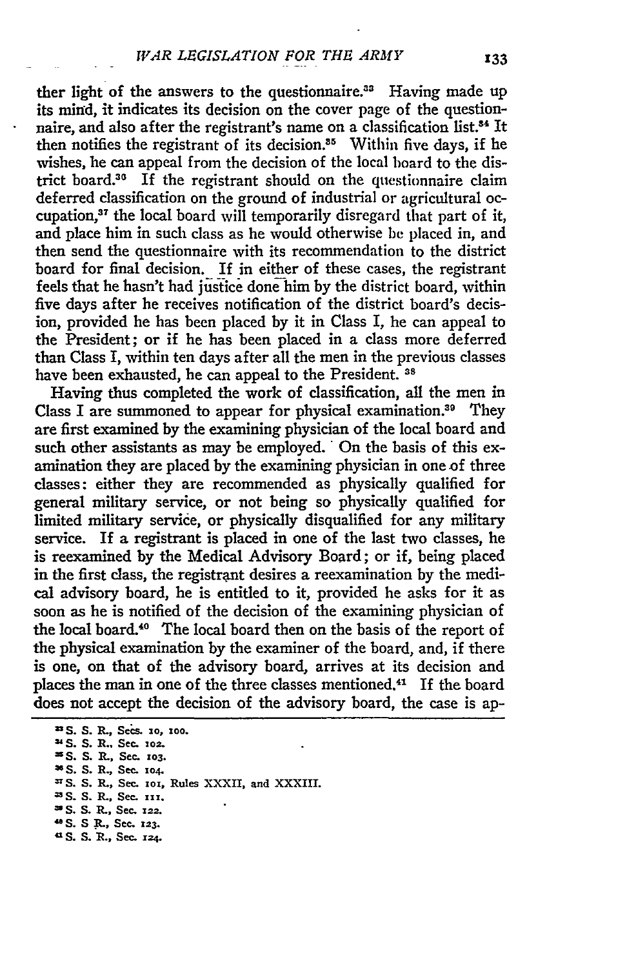ther light of the answers to the questionnaire.<sup>33</sup> Having made up its mind, it indicates its decision on the cover page of the questionnaire, and also after the registrant's name on a classification list.<sup>54</sup> It then notifies the registrant of its decision. $35$  Within five days, if he wishes, he can appeal from the decision of the local hoard to the district board.30 If the registrant should on the questionnaire claim deferred classification on the ground of industrial or agricultural occupation,<sup>37</sup> the local board will temporarily disregard that part of it, and place him in such class as he would otherwise be placed in, and then send the questionnaire with its recommendation to the district board for final decision. If in either of these cases, the registrant feels that he hasn't had justice done him by the district board, within five days after he receives notification of the district board's decision, provided he has been placed by it in Class I, he can appeal to the President; or if he has been placed in a class more deferred than Class I, within ten days after all the men in the previous classes have been exhausted, he can appeal to the President.<sup>38</sup>

Having thus completed the work of classification, all the men in Class I are summoned to appear for physical examination.39 They are first examined by the examining physician of the local board and such other assistants as may be employed. On the basis of this examination they are placed by the examining physician in one of three classes: either they are recommended as physically qualified for general military service, or not being so physically qualified for limited military service, or physically disqualified for any military service. If a registrant is placed in one of the last two classes, he is reexamined by the Medical Advisory Board; or if, being placed in the first class, the registrant desires a reexamination by the medical advisory board, he is entitled to it, provided he asks for it as soon as he is notified of the decision of the examining physician of the local board.'0 The local board then on the basis of the report of the physical examination by the examiner of the board, and, if there is one, on that of the advisory board, arrives at its decision and places the man in one of the three classes mentioned. 41 If the board does not accept the decision of the advisory board, the case is ap-

23 S. S. R., Secs. 10, 100. <sup>34</sup> S. S. R., Sec. 102. .. S. S. R., Sec. 103. <sup>36</sup> S. S. R., Sec. 104.  $^{37}$  S. S. R., Sec. 101, Rules XXXII, and XXXIII. <sup>23</sup> S. S. R., Sec. III. <sup>38</sup> S. S. R., Sec. 122. 40 S. S R., Sec. 123. *a* S. S. R., Sec. t24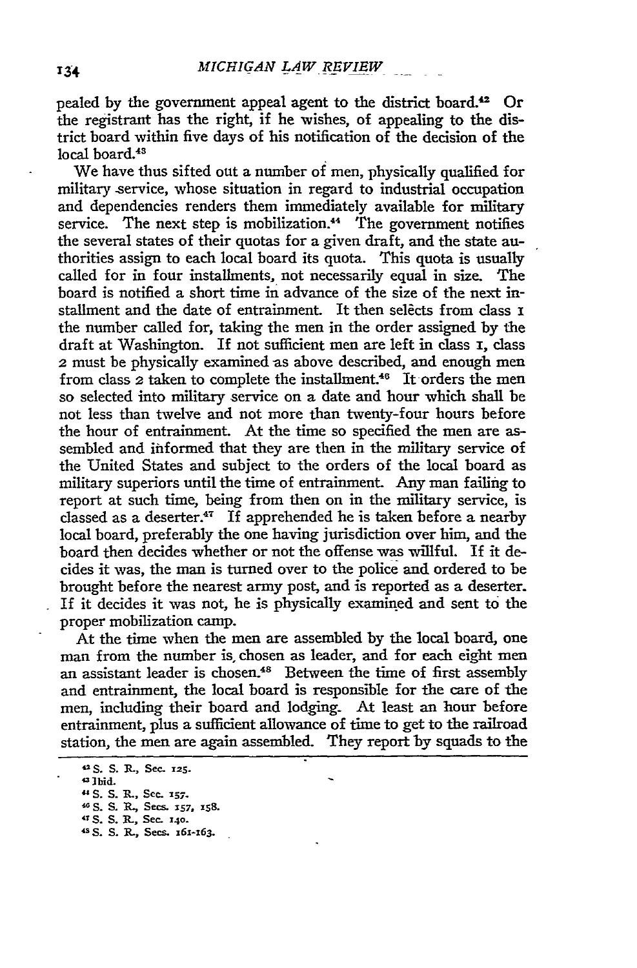pealed by the government appeal agent to the district board.<sup>42</sup> Or the registrant has the right, if he wishes, of appealing to the district board within five days of his notification of the decision of the local board.<sup>43</sup>

We have thus sifted out a number of men, physically qualified for military .service, whose situation in regard to industrial occupation and dependencies renders them immediately available for military service. The next step is mobilization.<sup>44</sup> The government notifies the several states of their quotas for a given draft, and the state authorities assign to each local board its quota. This quota is usually called for in four installments, not necessarily equal in size. The board is notified a short time in advance of the size of tbe next installment and the date of entrainment. It then selects from class I the number called for, taking the men in the order assigned by the draft at Washington. If not sufficient men are left in class I, class *<sup>2</sup>*must be physically examined as above described, and enough men from class 2 taken to complete the installment.<sup>46</sup> It orders the men so selected into military service on a date and hour which shall be not less than twelve and not more than twenty-four hours before the hour of entrainment. At the time so specified the men are assembled and informed that they are then in the military service of the United States and subject to the orders of the local board as military superiors until the time of entrainment. Any man failing to report at such time, being from then on in the military service, is classed as a deserter. $47$  If apprehended he is taken before a nearby local board, preferably the one having jurisdiction over him, and the board then decides whether or not the offense was willful. If it decides it was, the man is turned over to the police and ordered to be brought before the nearest army post, and is reported as a deserter. If it decides it was not, he is physically examined and sent to the proper mobilization camp.

At the time when the men are assembled by the local board, one man from the number is, chosen as leader, and for each eight men an assistant leader is chosen.<sup>48</sup> Between the time of first assembly and entrainment, the local board is responsible for the care of the men, including their board and lodging. At least an hour before entrainment, plus a sufficient allowance of time to get to the railroad station, the men are again assembled. They report by squads to the

<sup>&</sup>lt;> S. S. R., Sec. I25.  $\clubsuit$  Jbid. ., S. S. R., Sec. I57.

*<sup>40</sup>*S. S. R., Secs. 157, 158.

<sup>&</sup>quot; S. S. R., Sec. 140.

<sup>48</sup> S. S. R., Secs. 161-163.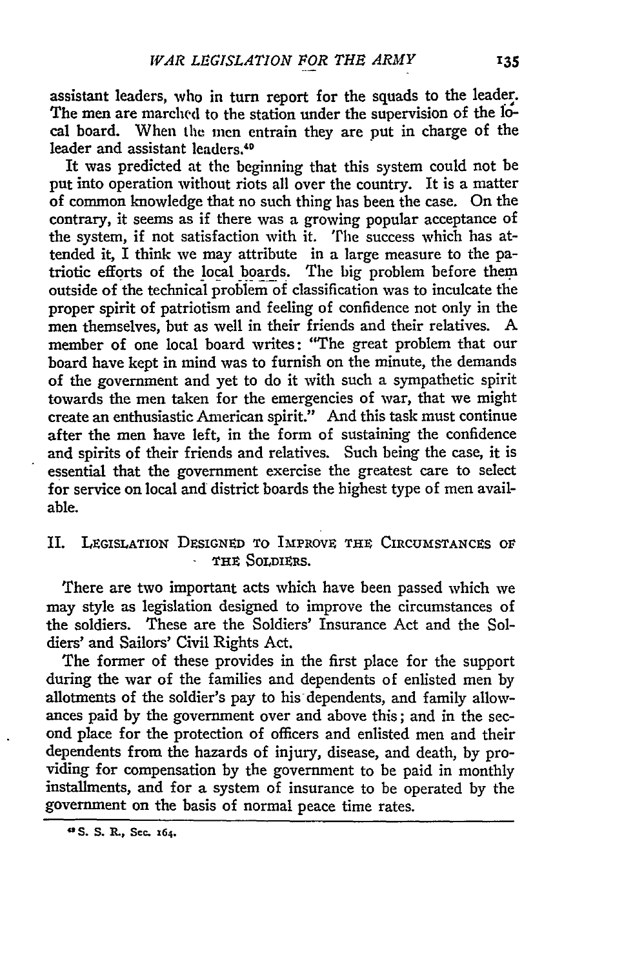assistant leaders, who in turn report for the squads to the leader. The men are marched to the station under the supervision of the local board. When the men entrain they are put in charge of the leader and assistant leaders.<sup>40</sup>

It was predicted at the beginning that this system could not be put into operation without riots all over the country. It is a matter of common knowledge that no such thing has been the case. On the contrary, it seems as if there was a growing popular acceptance of the system, if not satisfaction with it. The success which has attended it, I think we may attribute in a large measure to the patriotic efforts of the local boards. The big problem before them outside of the technical problem of classification was to inculcate the proper spirit of patriotism and feeling of confidence not only in the men themselves, but as well in their friends and their relatives. member of one local board writes: "The great problem that our board have kept in mind was to furnish on the minute, the demands of the government and yet to do it with such a sympathetic spirit towards the men taken for the emergencies of war, that we might create an enthusiastic American spirit." And this task must continue after the men have left, in the form of sustaining the confidence and spirits of their friends and relatives. Such being the case, it is essential that the government exercise the greatest care to select for service on local and district boards the highest type of men available.

### II. LEGISLATION DESIGNED TO IMPROVE THE CIRCUMSTANCES OF THE SOLDIERS.

There are two important acts which have been passed which we may style as legislation designed to improve the circumstances of the soldiers. These are the Soldiers' Insurance Act and the Soldiers' and Sailors' Civil Rights Act.

The former of these provides in the first place for the support during the war of the families and dependents of enlisted men by allotments of the soldier's pay to his-dependents, and family allowances paid by the government over and above this ; and in the second place for the protection of officers and enlisted men and their dependents from the hazards of injury, disease, and death, by providing for compensation by the government to be paid in monthly installments, and for a system of insurance to be operated by the government on the basis of normal peace time rates.

<sup>&</sup>quot; S. S. R., Sec. 164.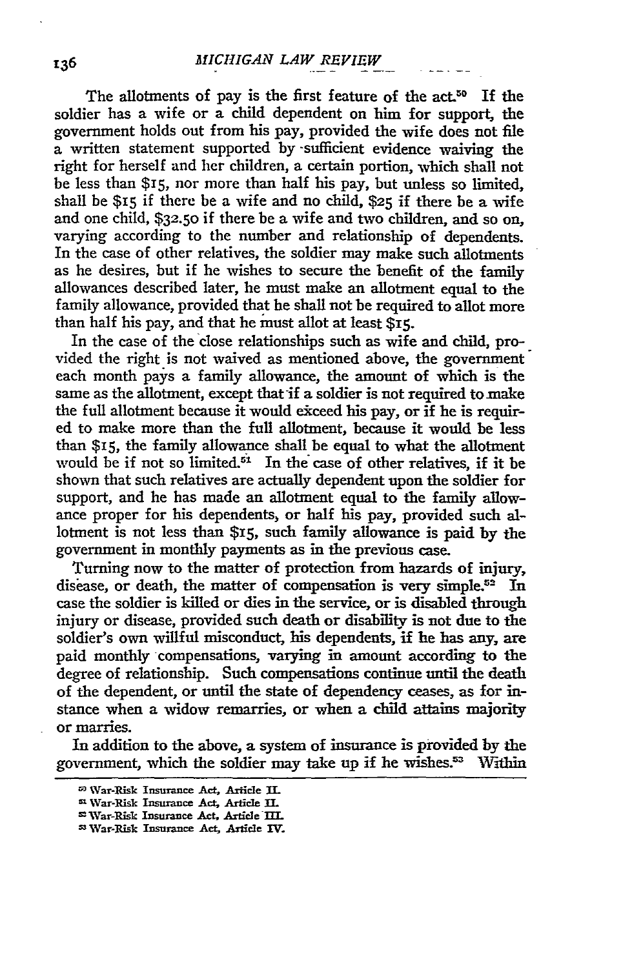The allotments of pay is the first feature of the  $act<sup>50</sup>$  If the soldier has a wife or a child dependent on him for support, the government holds out from his pay, provided the wife does not file a written statement supported by ·sufficient evidence waiving the right for herself and her children, a certain portion, which shall not be less than \$IS, nor more than half his pay, but unless so limited, shall be \$IS if there be a wife and no child, \$2S if there be a wife and one child, \$32.so if there be a wife and two children, and so on, varying according to the number and relationship of dependents. In the case of other relatives, the soldier may make such allotments as he desires, but if he wishes to secure the benefit of the family allowances described later, he must make an allotment equal to the family allowance, provided that he shall not be required to allot more than half his pay, and that he must allot at least \$IS.

In the case of the 'close relationships such as wife and child, provided the right is not waived as mentioned above, the government each month pays a family allowance, the amount of which is the same as the allotment, except that if a soldier is not required to make the full allotment because it would exceed his pay, or if he is required to make more than the full allotment, because it would be less than \$IS, the family allowance shall be equal to what the allotment would be if not so limited.<sup>51</sup> In the case of other relatives, if it be shown that such relatives are actually dependent upon the soldier for support, and he has made an allotment equal to the family allowance proper for his dependents, or half his pay, provided such allotment is not less than \$IS, such family allowance is paid by the government in monthly payments as in the previous case.

Turning now to the matter of protection from hazards of injury, disease, or death, the matter of compensation is very simple.<sup>52</sup> In case the soldier is killed or dies in the service, or is disabled through injury or disease, provided such death or disability is not due to the soldier's own willful misconduct, his dependents, if he has any, are paid monthly compensations, varying in amount according to the degree of relationship. Such compensations continue until the death of the dependent, or until the state of dependency reases, as for instance when a widow remarries, or when a child attains majority or marries.

In addition to the above, a system of insurance is provided by the government, which the soldier may take up if he wishes. $53$  Within

<sup>&</sup>quot;'War-Risk Insurance Act, Ariide ll.

<sup>51</sup> War-Risk Insurance Act, Article II.

 $N$  War-Risk Insurance Act, Article III.

<sup>&</sup>lt;sup>53</sup> War-Risk Insurance Act, Article IV.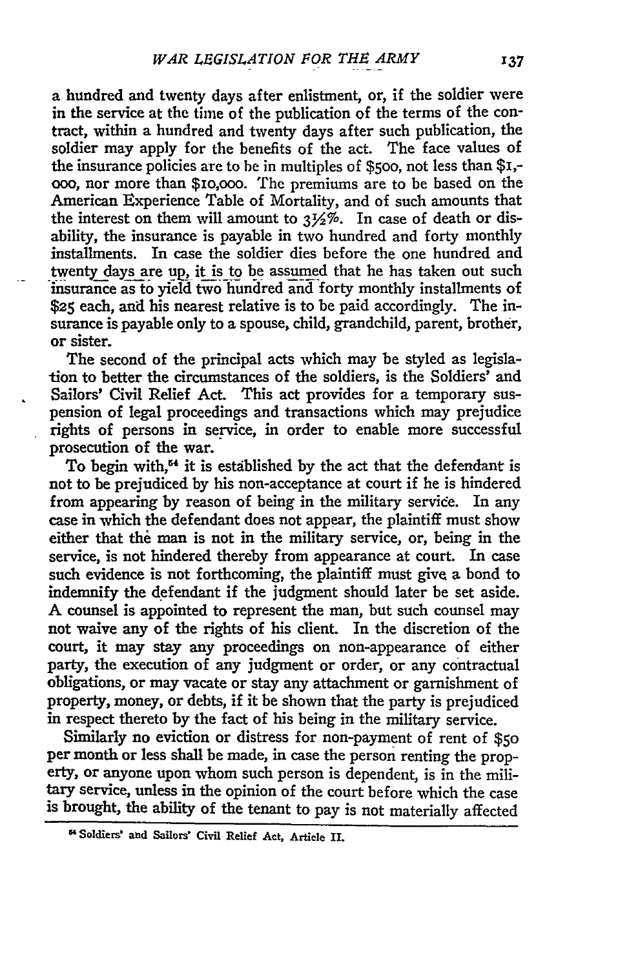a hundred and twenty days after enlistment, or, if the soldier were in the service at the time of the publication of the terms of the contract, within a hundred and twenty days after such publication, the soldier may apply for the benefits of the act. The face values of the insurance policies are to he in multiples of \$500, not less than \$1,- 000, nor more than \$10,000. The premiums are to be based on the American Experience Table of Mortality, and of such amounts that the interest on them will amount to  $3\frac{1}{2}\%$ . In case of death or disability, the insurance is payable in two hundred and forty monthly installments. In case the soldier dies before the one hundred and twenty days are up, it is to be assumed that he has taken out such insurance as to yield two hundred and forty monthly installments of \$25 each, and his nearest relative is to be paid accordingly. The insurance is payable only to a spouse, child, grandchild, parent, brother, or sister.

The second of the principal acts which may be styled as legislation to better the circumstances of the soldiers, is the Soldiers' and Sailors' Civil Relief Act. This act provides for a temporary suspension of legal proceedings and transactions which may prejudice rights of persons in service, in order to enable more successful prosecution of the war.

To begin with.<sup>54</sup> it is established by the act that the defendant is not to be prejudiced by his non-acceptance at court if he is hindered from appearing by reason of being in the military service. In any case in which the defendant does not appear, the plaintiff must show either that the man is not in the military service, or, being in the service, is not hindered thereby from appearance at court. In case such evidence is not forthcoming, the plaintiff must give a bond to indemnify the defendant if the judgment should later be set aside. A counsel is appointed to represent the man, but such counsel may not waive any of the rights of his client. In the discretion of the court, it may stay any proceedings on non-appearance of either party, the execution of any judgment or order, or any contractual obligations, or may vacate or stay any attachment or garnishment of property, money, or debts, if it be shown that the party is prejudiced in respect thereto by the fact of his being in the military service.

Similarly no eviction or distress for non-payment of rent of \$50 per month or less shall be made, in case the person renting the property, or anyone upon whom such person is dependent, is in the military service, unless in the opinion of the court before which the case is brought, the ability of the tenant to pay is not materially affected

<sup>&</sup>quot;'Soldiers' and Sailors' Civil Relief Act, Article II.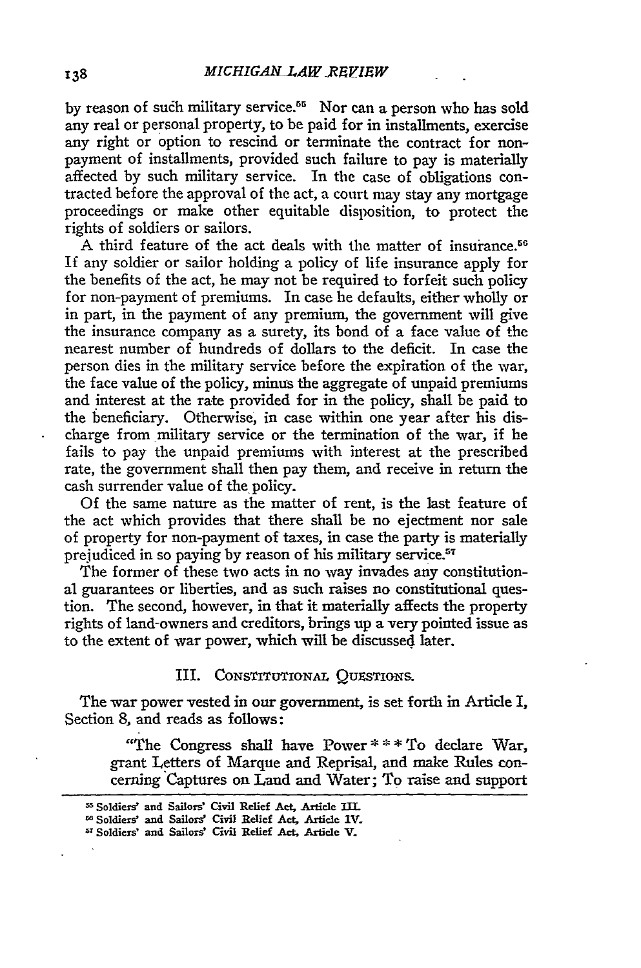by reason of such military service.<sup>65</sup> Nor can a person who has sold any real or personal property, to be paid for in installments, exercise any right or option to rescind or terminate the contract for nonpayment of installments, provided such failure to pay is materially affected by such military service. In the case of obligations contracted before the approval of the act, a court may stay any mortgage proceedings or make other equitable disposition, to protect the rights of soldiers or sailors.

A third feature of the act deals with the matter of insurance.<sup>56</sup> If any soldier or sailor holding a policy of life insurance apply for the benefits of the act, he may not be required to forfeit such policy for non-payment of premiums. In case he defaults, either wholly or in part, in the payment of any premium, the government will give the insurance company as a surety, its bond of a face value of the nearest number of hundreds of dollars to the deficit. In case the person dies in the military service before the expiration of the war, the face value of the policy, minus the aggregate of unpaid premiums and interest at the rate provided for in the policy, shall be paid to the beneficiary. Otherwise; in case within one year after his discharge from military service or the termination of the war, if be fails to pay the unpaid premiums with interest at the prescribed rate, the government shall then pay them, and receive in return the cash surrender value of the policy.

Of the same nature as the matter of rent, is the last feature of the act which provides that there shall be no ejectment nor sale of property for non-payment of taxes, in case the party is materially prejudiced in so paying by reason of his military service.<sup>57</sup>

The former of these two acts in no way invades any constitutional guarantees or liberties, and as such raises no constitutional question. The second, however, in that it materially affects the property rights of land-owners and creditors, brings up a very pointed issue as to the extent of war power, which will be discussed later.

#### III. CONSTITUTIONAL QUESTIONS.

The war power vested in our government, is set forth in Article I, Section 8, and reads as follows:

"The Congress shall have Power\*\*\* To declare War, grant Letters of Marque and Reprisal, and make Rules concerning Captures on Land and Water; To raise and support

<sup>&</sup>lt;sup>55</sup> Soldiers' and Sailors' Civil Relief Act, Article III.

<sup>&</sup>lt;sup>16</sup> Soldiers' and Sailors' Civil Relief Act, Article IV.

<sup>&</sup>lt;sup>57</sup> Soldiers' and Sailors' Civil Relief Act, Article V.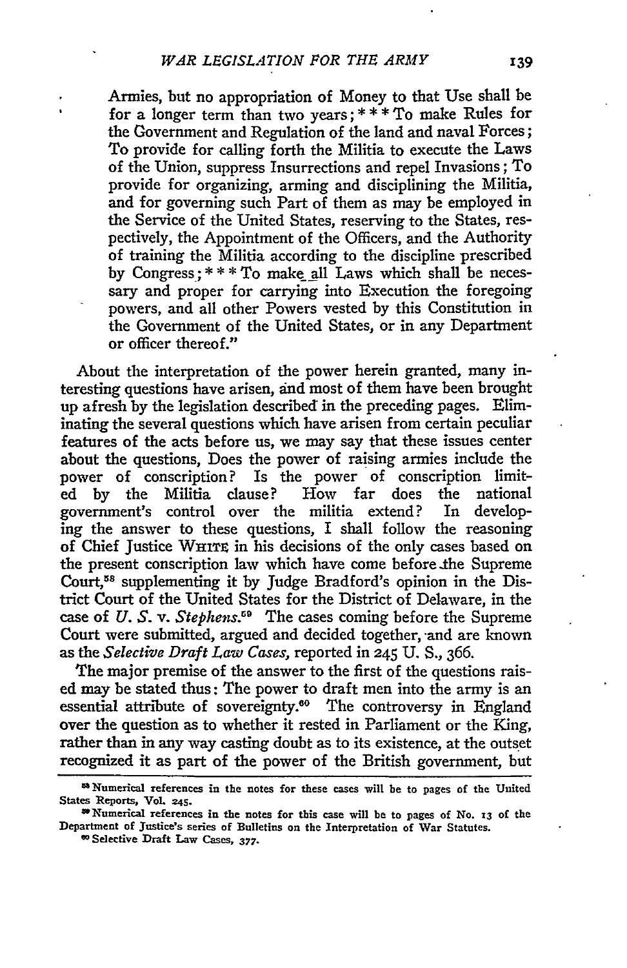Armies, but no appropriation of Money to that Use shall be for a longer term than two years; \* \* \* To make Rules for the Government and Regulation of the land and naval Forces; To provide for calling forth the Militia to execute the Laws of the Union, suppress Insurrections and repel Invasions *;* To provide for organizing, arming and disciplining the Militia, and for governing such Part of them as may be employed in the Service of the United States, reserving to the States, respectively, the Appointment of the Officers, and the Authority of training the Militia according to the discipline prescribed by Congress:  $**$  To make all Laws which shall be necessary and proper for carrying into Execution the foregoing powers, and all other Powers vested by this Constitution in the Government of the United States, or in any Department or officer thereof."

About the interpretation of the power herein granted, many interesting questions have arisen, and most of them have been brought up afresh by the legislation described in the preceding pages. Eliminating the several questions which have arisen from certain peculiar features of the acts before us, we may say that these issues center about the questions, Does the power of raising armies include the power of conscription? Is the power of conscription limit-<br>ed by the Militia clause? How far does the national ed by the Militia clause? How far does the national government's control over the militia extend? ing the answer to these questions, I shall follow the reasoning of Chief Justice WHITF. in his decisions of the only cases based on the present conscription law which have come before the Supreme Court, 58 supplementing it by Judge Bradford's opinion in the District Court of the United States for the District of Delaware, in the case of *U.S.* v. *Stephens.Go* The cases coming before the Supreme Court were submitted, argued and decided together, ·and are known as the *Selective Draft Law Cases,* reported in 245 U. S., 366.

The major premise of the answer to the first of the questions raised may be stated thus: The power to draft men into the army is an essential attribute of sovereignty.<sup>60</sup> The controversy in England over the question as to whether it rested in Parliament or the King. rather than in any way casting doubt as to its existence, at the outset recognized it as part of the power of the British government, but

<sup>&</sup>lt;sup>58</sup> Numerical references in the notes for these cases will be to pages of the United States Reports, VoL 245.

<sup>•</sup>Numerical references in the notes for this case will be to pages of No. 13 0£ the Department of Justice's series of Bulletins on the Interpretation of War Statutes. <sup>90</sup> Selective Draft Law Cases, 377.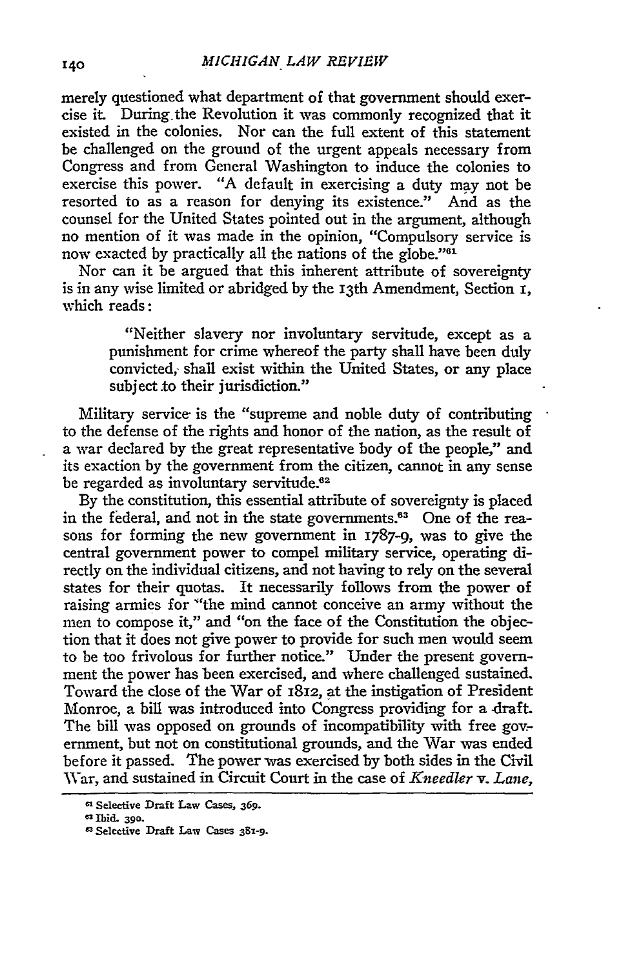merely questioned what department of that government should exercise it. During.the Revolution it was commonly recognized that it existed in the colonies. Nor can the full extent of this statement be challenged on the ground of the urgent appeals necessary from Congress and from General Washington to induce the colonies to exercise this power. "A default in exercising a duty may not be resorted to as a reason for denying its existence." And as the counsel for the United States pointed out in the argument, although no mention of it was made in the opinion, "Compulsory service is now exacted by practically all the nations of the globe."<sup>61</sup>

Nor can it be argued that this inherent attribute of sovereignty is in any wise limited or abridged by the 13th Amendment, Section I, which reads :

"Neither slavery nor involuntary servitude, except as a punishment for crime whereof the party shall have been duly convicted; shall exist within the United States, or any place subject to their jurisdiction."

Military service- is the "supreme and noble duty of contributing to the defense of the rights and honor of the nation, as the result of a war declared by the great representative body of the people," and its exaction by the government from the citizen, cannot in any sense be regarded as involuntary servitude. $62$ 

By the constitution, this essential attribute of sovereignty is placed in the federal, and not in the state governments.<sup>63</sup> One of the reasons for forming the new government in 1787-9, was to give the central government power to compel military service, operating directly on the individual citizens, and not having to rely on the several states for their quotas. It necessarily follows from the power of raising armies for "the mind cannot conceive an army without the men to compose it," and "on the face of the Constitution the objection that it does not give power to provide for such men would seem to be too frivolous for further notice." Under the present government the power has been exercised, and where challenged sustained. Toward the close of the War of 1812, at the instigation of President Monroe, a bill was introduced into Congress providing for a draft. The bill was opposed on grounds of incompatibility with free government, but not on constitutional grounds, and the War was ended before it passed. The power was exercised by both sides in the Civil \Yar, and sustained in Circuit Court in the case of *K1ieedler* v. *Lane,* 

<sup>&</sup>lt;sup>61</sup> Selective Draft Law Cases, 369.<br><sup>62</sup> Ibid. 390.

<sup>63</sup> Selective Draft Law Cases 381-9.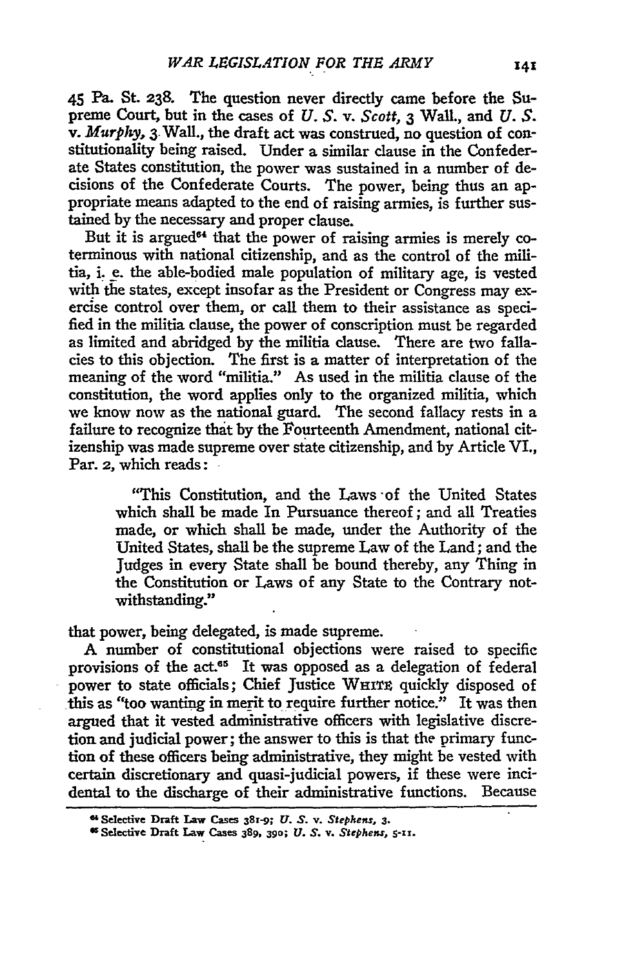45 Pa. St. 238. The question never directly came before the Supreme *Court,* but in the cases of *U. S.* v. *Scott,* 3 Wall., and *U. S.*  v. Murphy, 3 Wall., the draft act was construed, no question of constitutionality being raised. Under a similar clause in the Confederate States constitution, the power was sustained in a number of decisions of the Confederate Courts. The power, being thus an appropriate means adapted to the end of raising armies, is further sustained by the necessary and proper clause.

But it is argued<sup>64</sup> that the power of raising armies is merely coterminous with national citizenship, and as the control of the militia, i. e. the able-bodied male population of military age, is vested with the states, except insofar as the President or Congress may exercise control over them, or call them to their assistance as specified in the militia clause, the power of conscription must be regarded as limited and abridged by the militia clause. There are two fallacies to this objection. The first is a matter of interpretation of the meaning of the word "militia." As used in the militia clause of the constitution, the word applies only to the organized militia, which we know now as the national guard. The second fallacy rests in a failure to recognize that by the Fourteenth Amendment, national citizenship was made supreme over state citizenship, and by Article VI., Par. 2, which reads:

"This Constitution, and the Laws ·of the United States which shall be made In Pursuance thereof ; and all Treaties made, or which shall be made, under the Authority of the United States, shall be the supreme Law of the Land; and the Judges in every State shall be bound thereby, any Thing in the Constitution or Laws of any State to the Contrary notwithstanding."

that power, being delegated, is made supreme.

A number of constitutional objections were raised to specific provisions of the act.<sup>65</sup> It was opposed as a delegation of federal power to state officials; Chief Justice WHITE quickly disposed of this as "too wanting in merit to require further notice." It was then argued that it vested administrative officers with legislative discretion and judicial power; the answer to this is that the primary function of these officers being administrative, they might be vested with certain discretionary and quasi-judicial powers, if these were incidental to the discharge of their administrative functions. Because

<sup>..</sup> Selective Draft Law Cases 381-g; *U. S.* v. *Stephens,* 3. 15 Selective Draft Law Cases 31!g, 390; *U. S.* v. *Stephens,* s·rr.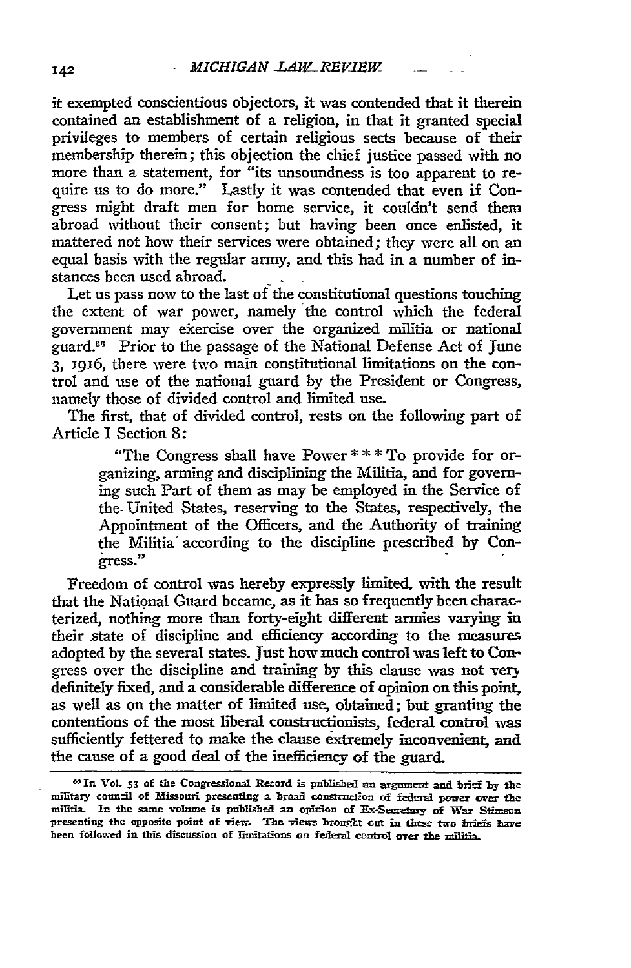it exempted conscientious objectors, it was contended that it therein contained an establishment of a religion, in that it granted special privileges to members of certain religious sects because of their membership therein; this objection the chief justice passed with no more than a statement, for "its unsoundness is too apparent to require us to do more." Lastly it was contended that even if Congress might draft men for home service, it couldn't send them abroad without their consent; but having been once enlisted, it mattered not how their services were obtained; they were all on an equal basis with the regular army, and this had in a number of instances been used abroad.

Let us pass now to the last *o{* the constitutional questions touching the extent of war power, namely the control which the federal government may eXercise over the organized militia or national guard.<sup>66</sup> Prior to the passage of the National Defense Act of June 3, 1916, there were two main constitutional limitations on the control and use of the national guard by the President or Congress, namely those of divided control and limited use.

The first, that of divided control, rests on the following part of Article I Section 8:

"The Congress shall have Power  $***$  To provide for organizing, arming and disciplining the Militia, and for governing such Part of them as may be employed in the Service of the- United States, reserving to the States, respectively, the Appointment of the Officers, and the Authority of training the Militia. according to the discipline prescribed by Congress."

Freedom of control was hereby expressly limited, with the result that the National Guard became, as it has so frequently been characterized, nothing more than forty-eight different armies varying in their state of discipline and efficiency according to the measures adopted by the several states. Just how much control was left to Congress over the discipline and training by this clause was not vecy definitely fixed, and a considerable difference of opinion on this point, as well as on the matter of limited use, obtained; but granting the contentions of the most liberal constructionists, federal control was sufficiently fettered to make the clause extremely inconvenient, and the cause of a good deal of the inefficiency of the guard.

 $^{\text{co}}$  In Yol. 53 of the Congressional Record is published an argument and brief by the military council of Missouri presenting a broad construction of federal power over the militia. In the same volume is published an opinion of Ex-Secretary of War Stimson presenting the opposite point of view. The views bronght out in these two briefs have been followed in this discussion of limitations on federal control over the militia.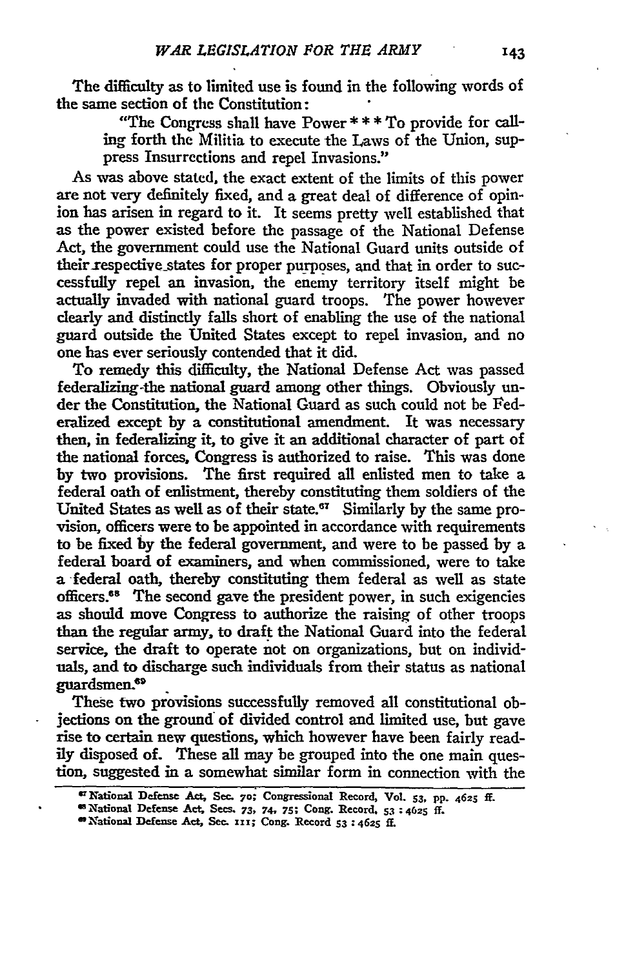The difficulty as to limited use is found in the following words of the same section of the Constitution:

"The Congress shall have Power\* \* \* To provide for calling forth the Militia to execute the Laws of the Union, suppress Insurrections and repel Invasions."

As was above stated, the exact extent of the limits of this power are not very definitely fixed, and a great deal of difference of opinion has arisen in regard to it. It seems pretty well established that as the power existed before the passage of the National Defense Act, the government could use the National Guard units outside of their respective states for proper purposes, and that in order to successfully repel an invasion, the enemy territory itself might be actually invaded with national guard troops. The power however clearly and distinctly falls short of enabling the use of the national guard outside the United States except to repel invasion, and no one has ever seriously contended that it did.

To remedy this difficulty, the National Defense Act was passed federalizing-the national guard among other things. Obviously under the Constitution. the National Guard as such could not be Federalized except by a constitutional amendment. It was necessary then, in federalizing it, to give it an additional character of part of the national forces, Congress is authorized to raise. This was done by two provisions. The first required all enlisted men to take a federal oath of enlistment, thereby constituting them soldiers of the United States as well as of their state.<sup>67</sup> Similarly by the same provision, officers were to be appointed in accordance with requirements to be fixed by the federal government, and were to be passed by a federal board of examiners, and when commissioned, were to take a ·federal oath, thereby constituting them federal as well as state officers.88 The second gave the president power, in such exigencies as should move Congress to authorize the raising of other troops than the regular army. to draft the National Guard into the federal service, the draft to operate not on organizations, but on individuals, and to discharge such individuals from their status as national guardsmen.<sup>69</sup>

These two provisions successfully removed all constitutional objections on the ground of divided control and limited use, but gave rise to certain new questions, which however have been fairly readily disposed of. These all may be grouped into the one main question, suggested in a somewhat similar form in connection with the

<sup>.,.</sup>National Defense Act, Sec. *70;* Congressional Record, Vol 53, pp. 4625 ff.

<sup>&#</sup>x27;"National Defense Act. Secs. 73, 74' 75; Cong. Record, 53 : 4625 ff.

<sup>•</sup>National Defense Act, Sec. 1n; Cong. Record 53 :4625 ff.